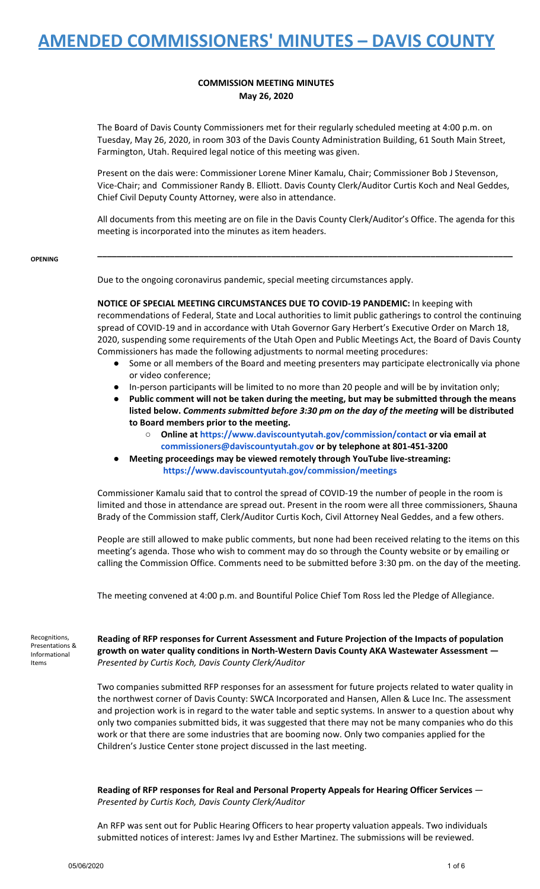## **COMMISSION MEETING MINUTES May 26, 2020**

The Board of Davis County Commissioners met for their regularly scheduled meeting at 4:00 p.m. on Tuesday, May 26, 2020, in room 303 of the Davis County Administration Building, 61 South Main Street, Farmington, Utah. Required legal notice of this meeting was given.

Present on the dais were: Commissioner Lorene Miner Kamalu, Chair; Commissioner Bob J Stevenson, Vice-Chair; and Commissioner Randy B. Elliott. Davis County Clerk/Auditor Curtis Koch and Neal Geddes, Chief Civil Deputy County Attorney, were also in attendance.

All documents from this meeting are on file in the Davis County Clerk/Auditor's Office. The agenda for this meeting is incorporated into the minutes as item headers.

**\_\_\_\_\_\_\_\_\_\_\_\_\_\_\_\_\_\_\_\_\_\_\_\_\_\_\_\_\_\_\_\_\_\_\_\_\_\_\_\_\_\_\_\_\_\_\_\_\_\_\_\_\_\_\_\_\_\_\_\_\_\_\_\_\_\_\_\_\_\_\_\_\_\_\_\_\_\_\_\_\_\_\_\_\_\_**

**OPENING**

Due to the ongoing coronavirus pandemic, special meeting circumstances apply.

**NOTICE OF SPECIAL MEETING CIRCUMSTANCES DUE TO COVID-19 PANDEMIC:** In keeping with recommendations of Federal, State and Local authorities to limit public gatherings to control the continuing spread of COVID-19 and in accordance with Utah Governor Gary Herbert's Executive Order on March 18, 2020, suspending some requirements of the Utah Open and Public Meetings Act, the Board of Davis County Commissioners has made the following adjustments to normal meeting procedures:

- Some or all members of the Board and meeting presenters may participate electronically via phone or video conference;
- In-person participants will be limited to no more than 20 people and will be by invitation only;
- **● Public comment will not be taken during the meeting, but may be submitted through the means listed below.** *Comments submitted before 3:30 pm on the day of the meeting* **will be distributed to Board members prior to the meeting.**
	- **○ Online at <https://www.daviscountyutah.gov/commission/contact> or via [email](https://www.daviscountyutah.gov/commission/contact) at [commissioners@daviscountyutah.gov](https://www.daviscountyutah.gov/commission/contact) or by telephone at 801-451-3200**
- **● Meeting proceedings may be viewed remotely through YouTube live-streaming: <https://www.daviscountyutah.gov/commission/meetings>**

Commissioner Kamalu said that to control the spread of COVID-19 the number of people in the room is limited and those in attendance are spread out. Present in the room were all three commissioners, Shauna Brady of the Commission staff, Clerk/Auditor Curtis Koch, Civil Attorney Neal Geddes, and a few others.

People are still allowed to make public comments, but none had been received relating to the items on this meeting's agenda. Those who wish to comment may do so through the County website or by emailing or calling the Commission Office. Comments need to be submitted before 3:30 pm. on the day of the meeting.

The meeting convened at 4:00 p.m. and Bountiful Police Chief Tom Ross led the Pledge of Allegiance.

Recognitions, Presentations & Informational Items

**Reading of RFP responses for Current Assessment and Future Projection of the Impacts of population growth on water quality conditions in North-Western Davis County AKA Wastewater Assessment —** *Presented by Curtis Koch, Davis County Clerk/Auditor*

Two companies submitted RFP responses for an assessment for future projects related to water quality in the northwest corner of Davis County: SWCA Incorporated and Hansen, Allen & Luce Inc. The assessment and projection work is in regard to the water table and septic systems. In answer to a question about why only two companies submitted bids, it was suggested that there may not be many companies who do this work or that there are some industries that are booming now. Only two companies applied for the Children's Justice Center stone project discussed in the last meeting.

**Reading of RFP responses for Real and Personal Property Appeals for Hearing Officer Services** — *Presented by Curtis Koch, Davis County Clerk/Auditor*

An RFP was sent out for Public Hearing Officers to hear property valuation appeals. Two individuals submitted notices of interest: James Ivy and Esther Martinez. The submissions will be reviewed.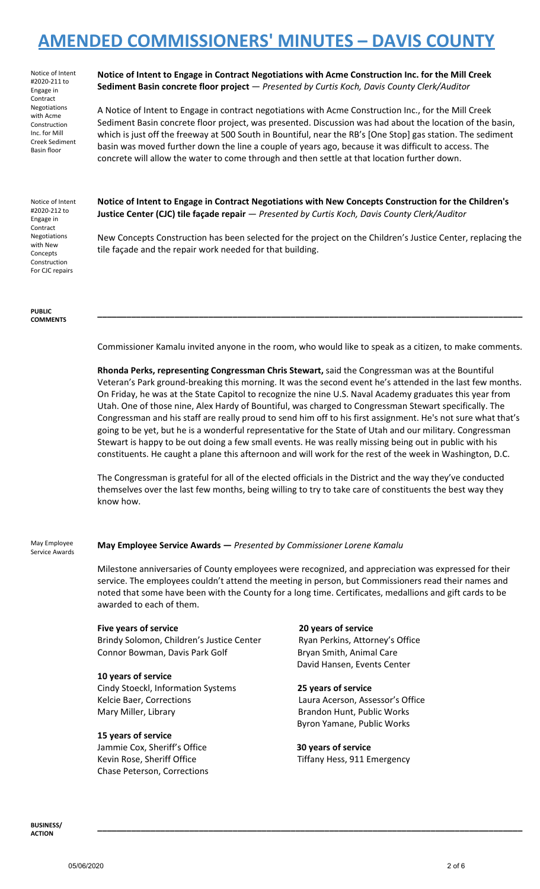Notice of Intent #2020-211 to Engage in Contract Negotiations with Acme Construction Inc. for Mill Creek Sediment Basin floor

### **Notice of Intent to Engage in Contract Negotiations with Acme Construction Inc. for the Mill Creek Sediment Basin concrete floor project** — *Presented by Curtis Koch, Davis County Clerk/Auditor*

A Notice of Intent to Engage in contract negotiations with Acme Construction Inc., for the Mill Creek Sediment Basin concrete floor project, was presented. Discussion was had about the location of the basin, which is just off the freeway at 500 South in Bountiful, near the RB's [One Stop] gas station. The sediment basin was moved further down the line a couple of years ago, because it was difficult to access. The concrete will allow the water to come through and then settle at that location further down.

Notice of Intent #2020-212 to Engage in Contract Negotiations with New Concepts Construction For CJC repairs

**PUBLIC COMMENTS** **Notice of Intent to Engage in Contract Negotiations with New Concepts Construction for the Children's Justice Center (CJC) tile façade repair** — *Presented by Curtis Koch, Davis County Clerk/Auditor*

New Concepts Construction has been selected for the project on the Children's Justice Center, replacing the tile façade and the repair work needed for that building.

Commissioner Kamalu invited anyone in the room, who would like to speak as a citizen, to make comments.

**\_\_\_\_\_\_\_\_\_\_\_\_\_\_\_\_\_\_\_\_\_\_\_\_\_\_\_\_\_\_\_\_\_\_\_\_\_\_\_\_\_\_\_\_\_\_\_\_\_\_\_\_\_\_\_\_\_\_\_\_\_\_\_\_\_\_\_\_\_\_\_\_\_\_\_\_\_\_\_\_\_\_\_\_\_\_\_\_**

**Rhonda Perks, representing Congressman Chris Stewart,** said the Congressman was at the Bountiful Veteran's Park ground-breaking this morning. It was the second event he's attended in the last few months. On Friday, he was at the State Capitol to recognize the nine U.S. Naval Academy graduates this year from Utah. One of those nine, Alex Hardy of Bountiful, was charged to Congressman Stewart specifically. The Congressman and his staff are really proud to send him off to his first assignment. He's not sure what that's going to be yet, but he is a wonderful representative for the State of Utah and our military. Congressman Stewart is happy to be out doing a few small events. He was really missing being out in public with his constituents. He caught a plane this afternoon and will work for the rest of the week in Washington, D.C.

The Congressman is grateful for all of the elected officials in the District and the way they've conducted themselves over the last few months, being willing to try to take care of constituents the best way they know how.

May Employee Service Awards

**May Employee Service Awards —** *Presented by Commissioner Lorene Kamalu*

Milestone anniversaries of County employees were recognized, and appreciation was expressed for their service. The employees couldn't attend the meeting in person, but Commissioners read their names and noted that some have been with the County for a long time. Certificates, medallions and gift cards to be awarded to each of them.

### **Five years of service 20 years of service**

Brindy Solomon, Children's Justice Center Ryan Perkins, Attorney's Office Connor Bowman, Davis Park Golf Bryan Smith, Animal Care

## **10 years of service**

Cindy Stoeckl, Information Systems **25 years of service** Kelcie Baer, Corrections Laura Acerson, Assessor's Office Mary Miller, Library **Brandon Hunt, Public Works** 

### **15 years of service**

Jammie Cox, Sheriff's Office **30 years of service** Chase Peterson, Corrections

David Hansen, Events Center

Byron Yamane, Public Works

**\_\_\_\_\_\_\_\_\_\_\_\_\_\_\_\_\_\_\_\_\_\_\_\_\_\_\_\_\_\_\_\_\_\_\_\_\_\_\_\_\_\_\_\_\_\_\_\_\_\_\_\_\_\_\_\_\_\_\_\_\_\_\_\_\_\_\_\_\_\_\_\_\_\_\_\_\_\_\_\_\_\_\_\_\_\_\_\_**

Kevin Rose, Sheriff Office The Tiffany Hess, 911 Emergency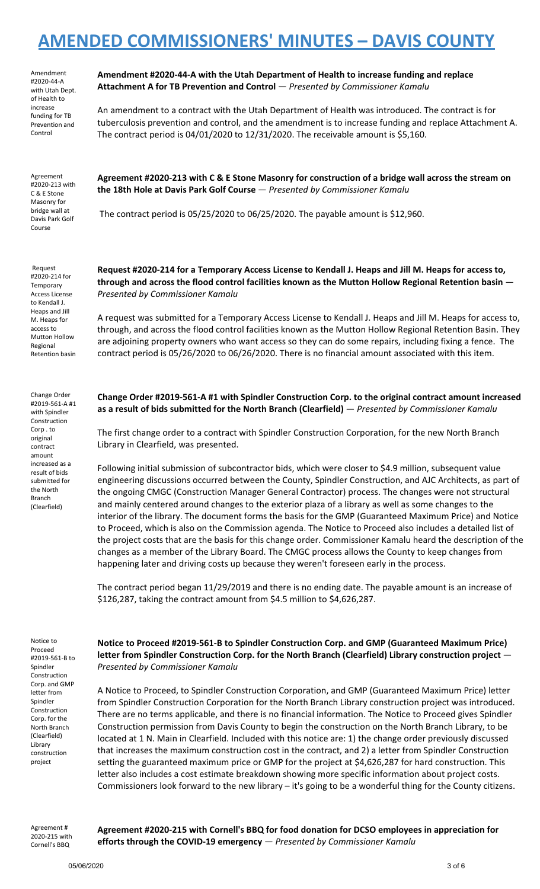Amendment #2020-44-A with Utah Dept. of Health to increase funding for TB Prevention and Control

Agreement #2020-213 with C & E Stone Masonry for bridge wall at Davis Park Golf Course

Request #2020-214 for **Temporary** Access License to Kendall J. Heaps and Jill M. Heaps for access to Mutton Hollow Regional Retention basin

Change Order #2019-561-A #1 with Spindler Construction Corp . to original contract amount increased as a result of bids submitted for the North Branch (Clearfield)

**Amendment #2020-44-A with the Utah Department of Health to increase funding and replace Attachment A for TB Prevention and Control** — *Presented by Commissioner Kamalu*

An amendment to a contract with the Utah Department of Health was introduced. The contract is for tuberculosis prevention and control, and the amendment is to increase funding and replace Attachment A. The contract period is 04/01/2020 to 12/31/2020. The receivable amount is \$5,160.

Agreement #2020-213 with C & E Stone Masonry for construction of a bridge wall across the stream on **the 18th Hole at Davis Park Golf Course** — *Presented by Commissioner Kamalu*

The contract period is 05/25/2020 to 06/25/2020. The payable amount is \$12,960.

Request #2020-214 for a Temporary Access License to Kendall J. Heaps and Jill M. Heaps for access to, **through and across the flood control facilities known as the Mutton Hollow Regional Retention basin** — *Presented by Commissioner Kamalu*

A request was submitted for a Temporary Access License to Kendall J. Heaps and Jill M. Heaps for access to, through, and across the flood control facilities known as the Mutton Hollow Regional Retention Basin. They are adjoining property owners who want access so they can do some repairs, including fixing a fence. The contract period is 05/26/2020 to 06/26/2020. There is no financial amount associated with this item.

**Change Order #2019-561-A #1 with Spindler Construction Corp. to the original contract amount increased as a result of bids submitted for the North Branch (Clearfield)** — *Presented by Commissioner Kamalu*

The first change order to a contract with Spindler Construction Corporation, for the new North Branch Library in Clearfield, was presented.

Following initial submission of subcontractor bids, which were closer to \$4.9 million, subsequent value engineering discussions occurred between the County, Spindler Construction, and AJC Architects, as part of the ongoing CMGC (Construction Manager General Contractor) process. The changes were not structural and mainly centered around changes to the exterior plaza of a library as well as some changes to the interior of the library. The document forms the basis for the GMP (Guaranteed Maximum Price) and Notice to Proceed, which is also on the Commission agenda. The Notice to Proceed also includes a detailed list of the project costs that are the basis for this change order. Commissioner Kamalu heard the description of the changes as a member of the Library Board. The CMGC process allows the County to keep changes from happening later and driving costs up because they weren't foreseen early in the process.

The contract period began 11/29/2019 and there is no ending date. The payable amount is an increase of \$126,287, taking the contract amount from \$4.5 million to \$4,626,287.

Notice to Proceed #2019-561-B to Spindler Construction Corp. and GMP letter from Spindler Construction Corp. for the North Branch (Clearfield) Library construction project

**Notice to Proceed #2019-561-B to Spindler Construction Corp. and GMP (Guaranteed Maximum Price) letter from Spindler Construction Corp. for the North Branch (Clearfield) Library construction project** — *Presented by Commissioner Kamalu*

A Notice to Proceed, to Spindler Construction Corporation, and GMP (Guaranteed Maximum Price) letter from Spindler Construction Corporation for the North Branch Library construction project was introduced. There are no terms applicable, and there is no financial information. The Notice to Proceed gives Spindler Construction permission from Davis County to begin the construction on the North Branch Library, to be located at 1 N. Main in Clearfield. Included with this notice are: 1) the change order previously discussed that increases the maximum construction cost in the contract, and 2) a letter from Spindler Construction setting the guaranteed maximum price or GMP for the project at \$4,626,287 for hard construction. This letter also includes a cost estimate breakdown showing more specific information about project costs. Commissioners look forward to the new library – it's going to be a wonderful thing for the County citizens.

Agreement # 2020-215 with Cornell's BBQ

**Agreement #2020-215 with Cornell's BBQ for food donation for DCSO employees in appreciation for efforts through the COVID-19 emergency** — *Presented by Commissioner Kamalu*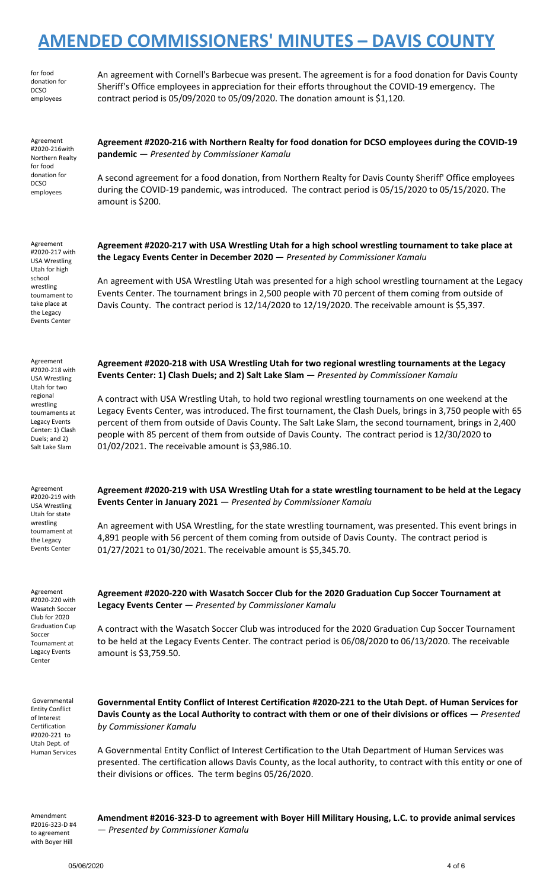|                                                                                                                                                                                        | <b>AMENDED COMMISSIONERS' MINUTES - DAVIS COUNTY</b>                                                                                                                                                                                                                                                                                                                                                                                                                                                                                                                                                                                                                                    |
|----------------------------------------------------------------------------------------------------------------------------------------------------------------------------------------|-----------------------------------------------------------------------------------------------------------------------------------------------------------------------------------------------------------------------------------------------------------------------------------------------------------------------------------------------------------------------------------------------------------------------------------------------------------------------------------------------------------------------------------------------------------------------------------------------------------------------------------------------------------------------------------------|
| for food<br>donation for<br><b>DCSO</b><br>employees                                                                                                                                   | An agreement with Cornell's Barbecue was present. The agreement is for a food donation for Davis County<br>Sheriff's Office employees in appreciation for their efforts throughout the COVID-19 emergency. The<br>contract period is 05/09/2020 to 05/09/2020. The donation amount is \$1,120.                                                                                                                                                                                                                                                                                                                                                                                          |
| Agreement<br>#2020-216with<br>Northern Realty<br>for food<br>donation for<br><b>DCSO</b><br>employees                                                                                  | Agreement #2020-216 with Northern Realty for food donation for DCSO employees during the COVID-19<br>pandemic - Presented by Commissioner Kamalu<br>A second agreement for a food donation, from Northern Realty for Davis County Sheriff' Office employees<br>during the COVID-19 pandemic, was introduced. The contract period is 05/15/2020 to 05/15/2020. The<br>amount is \$200.                                                                                                                                                                                                                                                                                                   |
| Agreement<br>#2020-217 with<br><b>USA Wrestling</b><br>Utah for high<br>school<br>wrestling<br>tournament to<br>take place at<br>the Legacy<br><b>Events Center</b>                    | Agreement #2020-217 with USA Wrestling Utah for a high school wrestling tournament to take place at<br>the Legacy Events Center in December 2020 - Presented by Commissioner Kamalu<br>An agreement with USA Wrestling Utah was presented for a high school wrestling tournament at the Legacy<br>Events Center. The tournament brings in 2,500 people with 70 percent of them coming from outside of<br>Davis County. The contract period is 12/14/2020 to 12/19/2020. The receivable amount is \$5,397.                                                                                                                                                                               |
| Agreement<br>#2020-218 with<br><b>USA Wrestling</b><br>Utah for two<br>regional<br>wrestling<br>tournaments at<br>Legacy Events<br>Center: 1) Clash<br>Duels; and 2)<br>Salt Lake Slam | Agreement #2020-218 with USA Wrestling Utah for two regional wrestling tournaments at the Legacy<br>Events Center: 1) Clash Duels; and 2) Salt Lake Slam - Presented by Commissioner Kamalu<br>A contract with USA Wrestling Utah, to hold two regional wrestling tournaments on one weekend at the<br>Legacy Events Center, was introduced. The first tournament, the Clash Duels, brings in 3,750 people with 65<br>percent of them from outside of Davis County. The Salt Lake Slam, the second tournament, brings in 2,400<br>people with 85 percent of them from outside of Davis County. The contract period is 12/30/2020 to<br>01/02/2021. The receivable amount is \$3,986.10. |
| Agreement<br>#2020-219 with<br><b>USA Wrestling</b><br>Utah for state<br>wrestling<br>tournament at<br>the Legacy<br><b>Events Center</b>                                              | Agreement #2020-219 with USA Wrestling Utah for a state wrestling tournament to be held at the Legacy<br>Events Center in January 2021 - Presented by Commissioner Kamalu<br>An agreement with USA Wrestling, for the state wrestling tournament, was presented. This event brings in<br>4,891 people with 56 percent of them coming from outside of Davis County. The contract period is<br>01/27/2021 to 01/30/2021. The receivable amount is \$5,345.70.                                                                                                                                                                                                                             |
| Agreement<br>#2020-220 with<br>Wasatch Soccer<br>Club for 2020<br><b>Graduation Cup</b><br>Soccer<br>Tournament at<br>Legacy Events<br>Center                                          | Agreement #2020-220 with Wasatch Soccer Club for the 2020 Graduation Cup Soccer Tournament at<br>Legacy Events Center - Presented by Commissioner Kamalu<br>A contract with the Wasatch Soccer Club was introduced for the 2020 Graduation Cup Soccer Tournament<br>to be held at the Legacy Events Center. The contract period is 06/08/2020 to 06/13/2020. The receivable<br>amount is \$3,759.50.                                                                                                                                                                                                                                                                                    |
| Governmental<br><b>Entity Conflict</b><br>of Interest<br>Certification<br>#2020-221 to<br>Utah Dept. of<br><b>Human Services</b>                                                       | Governmental Entity Conflict of Interest Certification #2020-221 to the Utah Dept. of Human Services for<br>Davis County as the Local Authority to contract with them or one of their divisions or offices - Presented<br>by Commissioner Kamalu<br>A Governmental Entity Conflict of Interest Certification to the Utah Department of Human Services was<br>presented. The certification allows Davis County, as the local authority, to contract with this entity or one of<br>their divisions or offices. The term begins 05/26/2020.                                                                                                                                                |

Amendment #2016-323-D #4 to agreement with Boyer Hill

**Amendment #2016-323-D to agreement with Boyer Hill Military Housing, L.C. to provide animal services** — *Presented by Commissioner Kamalu*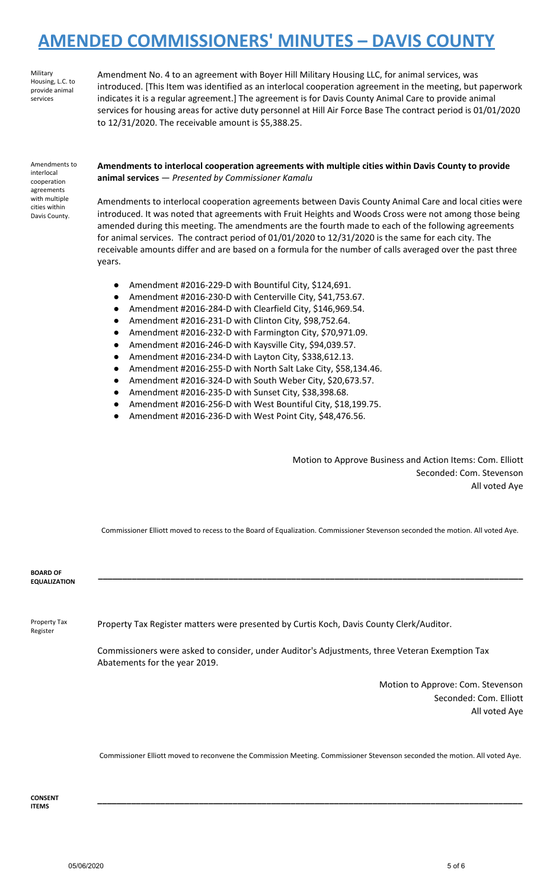Military Housing, L.C. to provide animal services

Amendment No. 4 to an agreement with Boyer Hill Military Housing LLC, for animal services, was introduced. [This Item was identified as an interlocal cooperation agreement in the meeting, but paperwork indicates it is a regular agreement.] The agreement is for Davis County Animal Care to provide animal services for housing areas for active duty personnel at Hill Air Force Base The contract period is 01/01/2020 to 12/31/2020. The receivable amount is \$5,388.25.

Amendments to interlocal cooperation agreements with multiple cities within Davis County.

**Amendments to interlocal cooperation agreements with multiple cities within Davis County to provide animal services** — *Presented by Commissioner Kamalu*

Amendments to interlocal cooperation agreements between Davis County Animal Care and local cities were introduced. It was noted that agreements with Fruit Heights and Woods Cross were not among those being amended during this meeting. The amendments are the fourth made to each of the following agreements for animal services. The contract period of 01/01/2020 to 12/31/2020 is the same for each city. The receivable amounts differ and are based on a formula for the number of calls averaged over the past three years.

- Amendment #2016-229-D with Bountiful City, \$124,691.
- Amendment #2016-230-D with Centerville City, \$41,753.67.
- Amendment #2016-284-D with Clearfield City, \$146,969.54.
- Amendment #2016-231-D with Clinton City, \$98,752.64.
- Amendment #2016-232-D with Farmington City, \$70,971.09.
- Amendment #2016-246-D with Kaysville City, \$94,039.57.
- Amendment #2016-234-D with Layton City, \$338,612.13.
- Amendment #2016-255-D with North Salt Lake City, \$58,134.46.
- Amendment #2016-324-D with South Weber City, \$20,673.57.
- Amendment #2016-235-D with Sunset City, \$38,398.68.
- Amendment #2016-256-D with West Bountiful City, \$18,199.75.
- Amendment #2016-236-D with West Point City, \$48,476.56.

Motion to Approve Business and Action Items: Com. Elliott Seconded: Com. Stevenson All voted Aye

Commissioner Elliott moved to recess to the Board of Equalization. Commissioner Stevenson seconded the motion. All voted Aye.

**\_\_\_\_\_\_\_\_\_\_\_\_\_\_\_\_\_\_\_\_\_\_\_\_\_\_\_\_\_\_\_\_\_\_\_\_\_\_\_\_\_\_\_\_\_\_\_\_\_\_\_\_\_\_\_\_\_\_\_\_\_\_\_\_\_\_\_\_\_\_\_\_\_\_\_\_\_\_\_\_\_\_\_\_\_\_\_\_**

| <b>BOARD OF</b><br><b>EQUALIZATION</b> |                                                                                                                                                                                            |
|----------------------------------------|--------------------------------------------------------------------------------------------------------------------------------------------------------------------------------------------|
| Property Tax<br>Register               | Property Tax Register matters were presented by Curtis Koch, Davis County Clerk/Auditor.<br>Commissioners were asked to consider, under Auditor's Adjustments, three Veteran Exemption Tax |
|                                        | Abatements for the year 2019.                                                                                                                                                              |
|                                        | Motion to Approve: Com. Stevenson                                                                                                                                                          |
|                                        | Seconded: Com. Elliott                                                                                                                                                                     |
|                                        | All voted Aye                                                                                                                                                                              |
|                                        |                                                                                                                                                                                            |
|                                        | Commissioner Elliott moved to reconvene the Commission Meeting. Commissioner Stevenson seconded the motion. All voted Aye.                                                                 |

**CONSENT ITEMS**